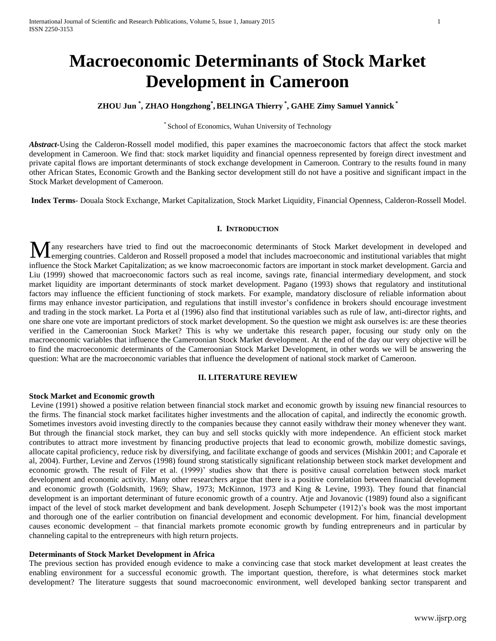# **Macroeconomic Determinants of Stock Market Development in Cameroon**

# **ZHOU Jun \* , ZHAO Hongzhong\* , BELINGA Thierry \* , GAHE Zimy Samuel Yannick \***

#### \* School of Economics, Wuhan University of Technology

*Abstract-*Using the Calderon-Rossell model modified, this paper examines the macroeconomic factors that affect the stock market development in Cameroon. We find that: stock market liquidity and financial openness represented by foreign direct investment and private capital flows are important determinants of stock exchange development in Cameroon. Contrary to the results found in many other African States, Economic Growth and the Banking sector development still do not have a positive and significant impact in the Stock Market development of Cameroon.

**Index Terms**- Douala Stock Exchange, Market Capitalization, Stock Market Liquidity, Financial Openness, Calderon-Rossell Model.

#### **I. INTRODUCTION**

any researchers have tried to find out the macroeconomic determinants of Stock Market development in developed and Many researchers have tried to find out the macroeconomic determinants of Stock Market development in developed and emerging countries. Calderon and Rossell proposed a model that includes macroeconomic and institutional va influence the Stock Market Capitalization; as we know macroeconomic factors are important in stock market development. Garcia and Liu (1999) showed that macroeconomic factors such as real income, savings rate, financial intermediary development, and stock market liquidity are important determinants of stock market development. Pagano (1993) shows that regulatory and institutional factors may influence the efficient functioning of stock markets. For example, mandatory disclosure of reliable information about firms may enhance investor participation, and regulations that instill investor's confidence in brokers should encourage investment and trading in the stock market. La Porta et al (1996) also find that institutional variables such as rule of law, anti-director rights, and one share one vote are important predictors of stock market development. So the question we might ask ourselves is: are these theories verified in the Cameroonian Stock Market? This is why we undertake this research paper, focusing our study only on the macroeconomic variables that influence the Cameroonian Stock Market development. At the end of the day our very objective will be to find the macroeconomic determinants of the Cameroonian Stock Market Development, in other words we will be answering the question: What are the macroeconomic variables that influence the development of national stock market of Cameroon.

#### **II. LITERATURE REVIEW**

## **Stock Market and Economic growth**

Levine (1991) showed a positive relation between financial stock market and economic growth by issuing new financial resources to the firms. The financial stock market facilitates higher investments and the allocation of capital, and indirectly the economic growth. Sometimes investors avoid investing directly to the companies because they cannot easily withdraw their money whenever they want. But through the financial stock market, they can buy and sell stocks quickly with more independence. An efficient stock market contributes to attract more investment by financing productive projects that lead to economic growth, mobilize domestic savings, allocate capital proficiency, reduce risk by diversifying, and facilitate exchange of goods and services (Mishkin 2001; and Caporale et al, 2004). Further, Levine and Zervos (1998) found strong statistically significant relationship between stock market development and economic growth. The result of Filer et al. (1999)' studies show that there is positive causal correlation between stock market development and economic activity. Many other researchers argue that there is a positive correlation between financial development and economic growth (Goldsmith, 1969; Shaw, 1973; McKinnon, 1973 and King & Levine, 1993). They found that financial development is an important determinant of future economic growth of a country. Atje and Jovanovic (1989) found also a significant impact of the level of stock market development and bank development. Joseph Schumpeter (1912)'s book was the most important and thorough one of the earlier contribution on financial development and economic development. For him, financial development causes economic development – that financial markets promote economic growth by funding entrepreneurs and in particular by channeling capital to the entrepreneurs with high return projects.

## **Determinants of Stock Market Development in Africa**

The previous section has provided enough evidence to make a convincing case that stock market development at least creates the enabling environment for a successful economic growth. The important question, therefore, is what determines stock market development? The literature suggests that sound macroeconomic environment, well developed banking sector transparent and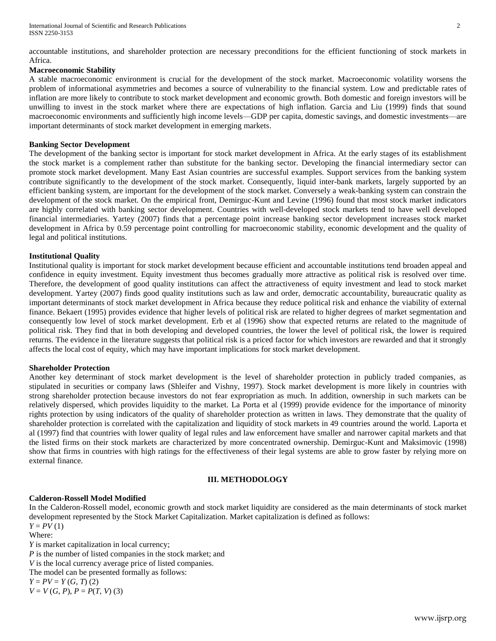accountable institutions, and shareholder protection are necessary preconditions for the efficient functioning of stock markets in Africa.

# **Macroeconomic Stability**

A stable macroeconomic environment is crucial for the development of the stock market. Macroeconomic volatility worsens the problem of informational asymmetries and becomes a source of vulnerability to the financial system. Low and predictable rates of inflation are more likely to contribute to stock market development and economic growth. Both domestic and foreign investors will be unwilling to invest in the stock market where there are expectations of high inflation. Garcia and Liu (1999) finds that sound macroeconomic environments and sufficiently high income levels—GDP per capita, domestic savings, and domestic investments—are important determinants of stock market development in emerging markets.

# **Banking Sector Development**

The development of the banking sector is important for stock market development in Africa. At the early stages of its establishment the stock market is a complement rather than substitute for the banking sector. Developing the financial intermediary sector can promote stock market development. Many East Asian countries are successful examples. Support services from the banking system contribute significantly to the development of the stock market. Consequently, liquid inter-bank markets, largely supported by an efficient banking system, are important for the development of the stock market. Conversely a weak-banking system can constrain the development of the stock market. On the empirical front, Demirguc-Kunt and Levine (1996) found that most stock market indicators are highly correlated with banking sector development. Countries with well-developed stock markets tend to have well developed financial intermediaries. Yartey (2007) finds that a percentage point increase banking sector development increases stock market development in Africa by 0.59 percentage point controlling for macroeconomic stability, economic development and the quality of legal and political institutions.

# **Institutional Quality**

Institutional quality is important for stock market development because efficient and accountable institutions tend broaden appeal and confidence in equity investment. Equity investment thus becomes gradually more attractive as political risk is resolved over time. Therefore, the development of good quality institutions can affect the attractiveness of equity investment and lead to stock market development. Yartey (2007) finds good quality institutions such as law and order, democratic accountability, bureaucratic quality as important determinants of stock market development in Africa because they reduce political risk and enhance the viability of external finance. Bekaert (1995) provides evidence that higher levels of political risk are related to higher degrees of market segmentation and consequently low level of stock market development. Erb et al (1996) show that expected returns are related to the magnitude of political risk. They find that in both developing and developed countries, the lower the level of political risk, the lower is required returns. The evidence in the literature suggests that political risk is a priced factor for which investors are rewarded and that it strongly affects the local cost of equity, which may have important implications for stock market development.

## **Shareholder Protection**

Another key determinant of stock market development is the level of shareholder protection in publicly traded companies, as stipulated in securities or company laws (Shleifer and Vishny, 1997). Stock market development is more likely in countries with strong shareholder protection because investors do not fear expropriation as much. In addition, ownership in such markets can be relatively dispersed, which provides liquidity to the market. La Porta et al (1999) provide evidence for the importance of minority rights protection by using indicators of the quality of shareholder protection as written in laws. They demonstrate that the quality of shareholder protection is correlated with the capitalization and liquidity of stock markets in 49 countries around the world. Laporta et al (1997) find that countries with lower quality of legal rules and law enforcement have smaller and narrower capital markets and that the listed firms on their stock markets are characterized by more concentrated ownership. Demirguc-Kunt and Maksimovic (1998) show that firms in countries with high ratings for the effectiveness of their legal systems are able to grow faster by relying more on external finance.

# **III. METHODOLOGY**

# **Calderon-Rossell Model Modified**

In the Calderon-Rossell model, economic growth and stock market liquidity are considered as the main determinants of stock market development represented by the Stock Market Capitalization. Market capitalization is defined as follows:  $Y = PV(1)$ 

Where:

*Y* is market capitalization in local currency; *P* is the number of listed companies in the stock market; and *V* is the local currency average price of listed companies. The model can be presented formally as follows:  $Y = PV = Y(G, T)$  (2)  $V = V(G, P), P = P(T, V)$  (3)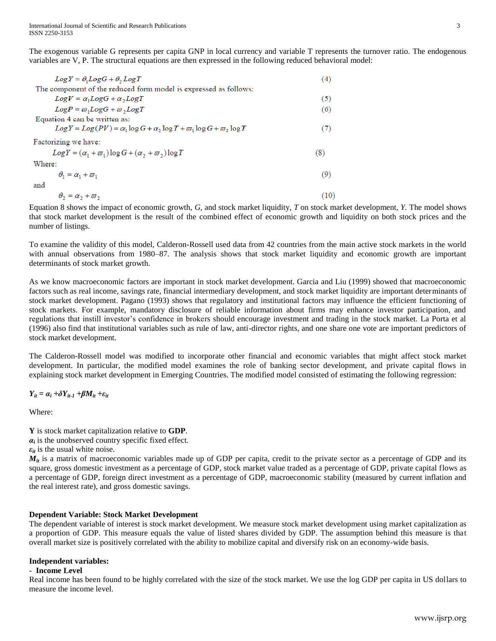The exogenous variable G represents per capita GNP in local currency and variable T represents the turnover ratio. The endogenous variables are V, P. The structural equations are then expressed in the following reduced behavioral model:

| $LogY = \theta_1 LogG + \theta_2 LogT$                                                                          | (4)  |
|-----------------------------------------------------------------------------------------------------------------|------|
| The component of the reduced form model is expressed as follows:                                                |      |
| $Log V = \alpha_1 Log G + \alpha_2 Log T$                                                                       | (5)  |
| $LogP = \varpi_1 LogG + \varpi_2 LogT$                                                                          | (6)  |
| Equation 4 can be written as:                                                                                   |      |
| $Log Y = Log(PV) = \alpha_1 \log G + \alpha_2 \log T + \overline{\omega}_1 \log G + \overline{\omega}_2 \log T$ | (7)  |
| Factorizing we have:                                                                                            |      |
| $LogY = (\alpha_1 + \overline{\omega}_1)logG + (\alpha_2 + \overline{\omega}_2)logT$                            | (8)  |
| Where:                                                                                                          |      |
| $\theta_1 = \alpha_1 + \overline{\omega}_1$                                                                     | (9)  |
| and                                                                                                             |      |
| $\theta_2 = \alpha_2 + \overline{\omega}_2$                                                                     | (10) |
|                                                                                                                 |      |

Equation 8 shows the impact of economic growth, *G,* and stock market liquidity, *T* on stock market development, *Y.* The model shows that stock market development is the result of the combined effect of economic growth and liquidity on both stock prices and the number of listings.

To examine the validity of this model, Calderon-Rossell used data from 42 countries from the main active stock markets in the world with annual observations from 1980–87. The analysis shows that stock market liquidity and economic growth are important determinants of stock market growth.

As we know macroeconomic factors are important in stock market development. Garcia and Liu (1999) showed that macroeconomic factors such as real income, savings rate, financial intermediary development, and stock market liquidity are important determinants of stock market development. Pagano (1993) shows that regulatory and institutional factors may influence the efficient functioning of stock markets. For example, mandatory disclosure of reliable information about firms may enhance investor participation, and regulations that instill investor's confidence in brokers should encourage investment and trading in the stock market. La Porta et al (1996) also find that institutional variables such as rule of law, anti-director rights, and one share one vote are important predictors of stock market development.

The Calderon-Rossell model was modified to incorporate other financial and economic variables that might affect stock market development. In particular, the modified model examines the role of banking sector development, and private capital flows in explaining stock market development in Emerging Countries. The modified model consisted of estimating the following regression:

*Y*<sub>it</sub></sup> =  $\alpha_i$  +*δY*<sub>*it-1</sub>* +*βM*<sub>*it*</sub> +*ε*<sub>*it*</sub></sub>

Where:

**Y** is stock market capitalization relative to **GDP**.

 $a_i$  is the unobserved country specific fixed effect.

 $\varepsilon_{it}$  is the usual white noise.

 $M_{it}$  is a matrix of macroeconomic variables made up of GDP per capita, credit to the private sector as a percentage of GDP and its square, gross domestic investment as a percentage of GDP, stock market value traded as a percentage of GDP, private capital flows as a percentage of GDP, foreign direct investment as a percentage of GDP, macroeconomic stability (measured by current inflation and the real interest rate), and gross domestic savings.

# **Dependent Variable: Stock Market Development**

The dependent variable of interest is stock market development. We measure stock market development using market capitalization as a proportion of GDP. This measure equals the value of listed shares divided by GDP. The assumption behind this measure is that overall market size is positively correlated with the ability to mobilize capital and diversify risk on an economy-wide basis.

## **Independent variables:**

# **- Income Level**

Real income has been found to be highly correlated with the size of the stock market. We use the log GDP per capita in US dollars to measure the income level.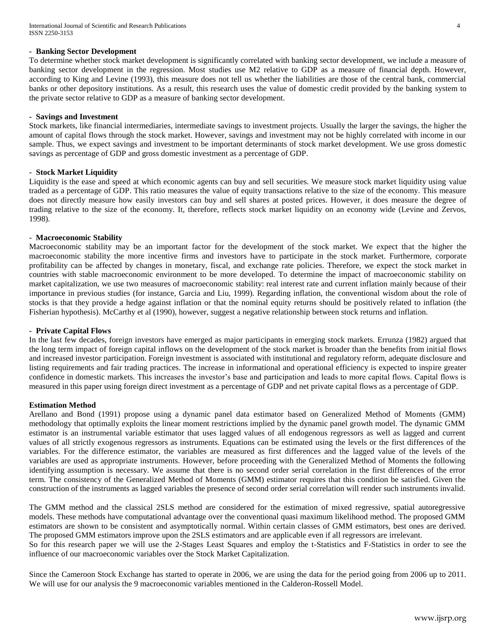# **- Banking Sector Development**

To determine whether stock market development is significantly correlated with banking sector development, we include a measure of banking sector development in the regression. Most studies use M2 relative to GDP as a measure of financial depth. However, according to King and Levine (1993), this measure does not tell us whether the liabilities are those of the central bank, commercial banks or other depository institutions. As a result, this research uses the value of domestic credit provided by the banking system to the private sector relative to GDP as a measure of banking sector development.

#### **- Savings and Investment**

Stock markets, like financial intermediaries, intermediate savings to investment projects. Usually the larger the savings, the higher the amount of capital flows through the stock market. However, savings and investment may not be highly correlated with income in our sample. Thus, we expect savings and investment to be important determinants of stock market development. We use gross domestic savings as percentage of GDP and gross domestic investment as a percentage of GDP.

# **- Stock Market Liquidity**

Liquidity is the ease and speed at which economic agents can buy and sell securities. We measure stock market liquidity using value traded as a percentage of GDP. This ratio measures the value of equity transactions relative to the size of the economy. This measure does not directly measure how easily investors can buy and sell shares at posted prices. However, it does measure the degree of trading relative to the size of the economy. It, therefore, reflects stock market liquidity on an economy wide (Levine and Zervos, 1998).

#### **- Macroeconomic Stability**

Macroeconomic stability may be an important factor for the development of the stock market. We expect that the higher the macroeconomic stability the more incentive firms and investors have to participate in the stock market. Furthermore, corporate profitability can be affected by changes in monetary, fiscal, and exchange rate policies. Therefore, we expect the stock market in countries with stable macroeconomic environment to be more developed. To determine the impact of macroeconomic stability on market capitalization, we use two measures of macroeconomic stability: real interest rate and current inflation mainly because of their importance in previous studies (for instance, Garcia and Liu, 1999). Regarding inflation, the conventional wisdom about the role of stocks is that they provide a hedge against inflation or that the nominal equity returns should be positively related to inflation (the Fisherian hypothesis). McCarthy et al (1990), however, suggest a negative relationship between stock returns and inflation.

## **- Private Capital Flows**

In the last few decades, foreign investors have emerged as major participants in emerging stock markets. Errunza (1982) argued that the long term impact of foreign capital inflows on the development of the stock market is broader than the benefits from initial flows and increased investor participation. Foreign investment is associated with institutional and regulatory reform, adequate disclosure and listing requirements and fair trading practices. The increase in informational and operational efficiency is expected to inspire greater confidence in domestic markets. This increases the investor's base and participation and leads to more capital flows. Capital flows is measured in this paper using foreign direct investment as a percentage of GDP and net private capital flows as a percentage of GDP.

## **Estimation Method**

Arellano and Bond (1991) propose using a dynamic panel data estimator based on Generalized Method of Moments (GMM) methodology that optimally exploits the linear moment restrictions implied by the dynamic panel growth model. The dynamic GMM estimator is an instrumental variable estimator that uses lagged values of all endogenous regressors as well as lagged and current values of all strictly exogenous regressors as instruments. Equations can be estimated using the levels or the first differences of the variables. For the difference estimator, the variables are measured as first differences and the lagged value of the levels of the variables are used as appropriate instruments. However, before proceeding with the Generalized Method of Moments the following identifying assumption is necessary. We assume that there is no second order serial correlation in the first differences of the error term. The consistency of the Generalized Method of Moments (GMM) estimator requires that this condition be satisfied. Given the construction of the instruments as lagged variables the presence of second order serial correlation will render such instruments invalid.

The GMM method and the classical 2SLS method are considered for the estimation of mixed regressive, spatial autoregressive models. These methods have computational advantage over the conventional quasi maximum likelihood method. The proposed GMM estimators are shown to be consistent and asymptotically normal. Within certain classes of GMM estimators, best ones are derived. The proposed GMM estimators improve upon the 2SLS estimators and are applicable even if all regressors are irrelevant. So for this research paper we will use the 2-Stages Least Squares and employ the t-Statistics and F-Statistics in order to see the

influence of our macroeconomic variables over the Stock Market Capitalization.

Since the Cameroon Stock Exchange has started to operate in 2006, we are using the data for the period going from 2006 up to 2011. We will use for our analysis the 9 macroeconomic variables mentioned in the Calderon-Rossell Model.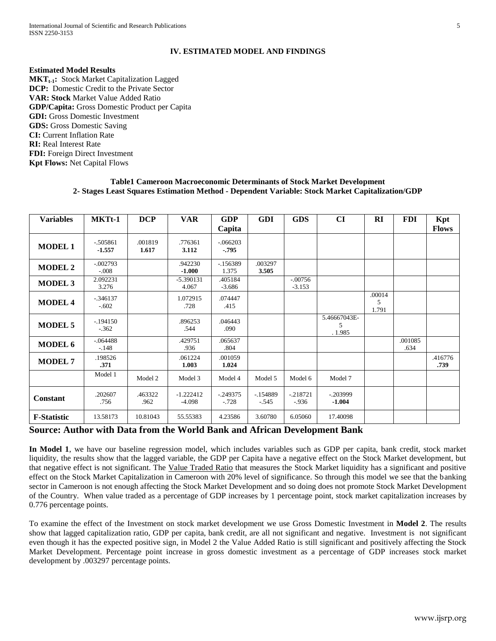# **IV. ESTIMATED MODEL AND FINDINGS**

#### **Estimated Model Results**

**MKTt-1:** Stock Market Capitalization Lagged **DCP:** Domestic Credit to the Private Sector **VAR: Stock** Market Value Added Ratio **GDP/Capita:** Gross Domestic Product per Capita **GDI:** Gross Domestic Investment **GDS:** Gross Domestic Saving **CI:** Current Inflation Rate **RI:** Real Interest Rate **FDI:** Foreign Direct Investment **Kpt Flows:** Net Capital Flows

| <b>Variables</b>   | MKTt-1                | <b>DCP</b>       | <b>VAR</b>              | <b>GDP</b><br>Capita | <b>GDI</b>           | <b>GDS</b>            | CI                          | <b>RI</b>            | <b>FDI</b>      | Kpt<br><b>Flows</b> |
|--------------------|-----------------------|------------------|-------------------------|----------------------|----------------------|-----------------------|-----------------------------|----------------------|-----------------|---------------------|
| <b>MODEL 1</b>     | $-505861$<br>$-1.557$ | .001819<br>1.617 | .776361<br>3.112        | $-.066203$<br>$-795$ |                      |                       |                             |                      |                 |                     |
| <b>MODEL 2</b>     | $-.002793$<br>$-.008$ |                  | .942230<br>$-1.000$     | $-156389$<br>1.375   | .003297<br>3.505     |                       |                             |                      |                 |                     |
| <b>MODEL 3</b>     | 2.092231<br>3.276     |                  | $-5.390131$<br>4.067    | .405184<br>$-3.686$  |                      | $-.00756$<br>$-3.153$ |                             |                      |                 |                     |
| <b>MODEL 4</b>     | $-346137$<br>$-.602$  |                  | 1.072915<br>.728        | .074447<br>.415      |                      |                       |                             | .00014<br>5<br>1.791 |                 |                     |
| <b>MODEL 5</b>     | $-194150$<br>$-.362$  |                  | .896253<br>.544         | .046443<br>.090      |                      |                       | 5.46667043E-<br>5<br>.1.985 |                      |                 |                     |
| <b>MODEL 6</b>     | $-.064488$<br>$-.148$ |                  | .429751<br>.936         | .065637<br>.804      |                      |                       |                             |                      | .001085<br>.634 |                     |
| <b>MODEL 7</b>     | .198526<br>.371       |                  | .061224<br>1.003        | .001059<br>1.024     |                      |                       |                             |                      |                 | .416776<br>.739     |
|                    | Model 1               | Model 2          | Model 3                 | Model 4              | Model 5              | Model 6               | Model 7                     |                      |                 |                     |
| <b>Constant</b>    | .202607<br>.756       | .463322<br>.962  | $-1.222412$<br>$-4.098$ | $-249375$<br>$-.728$ | $-154889$<br>$-.545$ | $-218721$<br>$-0.936$ | $-0.203999$<br>$-1.004$     |                      |                 |                     |
| <b>F-Statistic</b> | 13.58173              | 10.81043         | 55.55383                | 4.23586              | 3.60780              | 6.05060               | 17.40098                    |                      |                 |                     |

## **Table1 Cameroon Macroeconomic Determinants of Stock Market Development 2- Stages Least Squares Estimation Method - Dependent Variable: Stock Market Capitalization/GDP**

# **Source: Author with Data from the World Bank and African Development Bank**

**In Model 1**, we have our baseline regression model, which includes variables such as GDP per capita, bank credit, stock market liquidity, the results show that the lagged variable, the GDP per Capita have a negative effect on the Stock Market development, but that negative effect is not significant. The Value Traded Ratio that measures the Stock Market liquidity has a significant and positive effect on the Stock Market Capitalization in Cameroon with 20% level of significance. So through this model we see that the banking sector in Cameroon is not enough affecting the Stock Market Development and so doing does not promote Stock Market Development of the Country. When value traded as a percentage of GDP increases by 1 percentage point, stock market capitalization increases by 0.776 percentage points.

To examine the effect of the Investment on stock market development we use Gross Domestic Investment in **Model 2**. The results show that lagged capitalization ratio, GDP per capita, bank credit, are all not significant and negative. Investment is not significant even though it has the expected positive sign, in Model 2 the Value Added Ratio is still significant and positively affecting the Stock Market Development. Percentage point increase in gross domestic investment as a percentage of GDP increases stock market development by .003297 percentage points.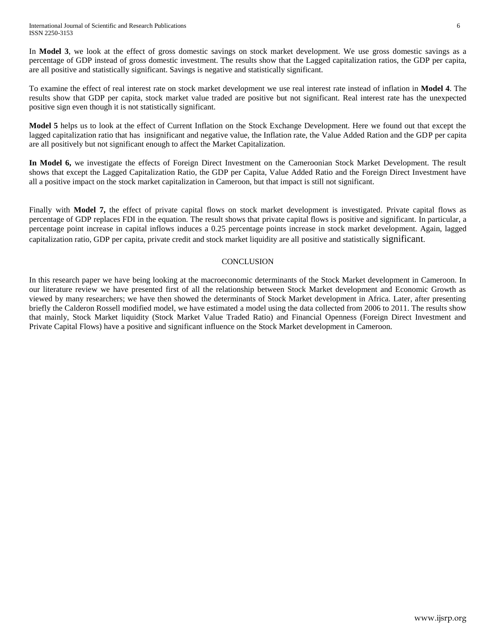In **Model 3**, we look at the effect of gross domestic savings on stock market development. We use gross domestic savings as a percentage of GDP instead of gross domestic investment. The results show that the Lagged capitalization ratios, the GDP per capita, are all positive and statistically significant. Savings is negative and statistically significant.

To examine the effect of real interest rate on stock market development we use real interest rate instead of inflation in **Model 4**. The results show that GDP per capita, stock market value traded are positive but not significant. Real interest rate has the unexpected positive sign even though it is not statistically significant.

**Model 5** helps us to look at the effect of Current Inflation on the Stock Exchange Development. Here we found out that except the lagged capitalization ratio that has insignificant and negative value, the Inflation rate, the Value Added Ration and the GDP per capita are all positively but not significant enough to affect the Market Capitalization.

**In Model 6,** we investigate the effects of Foreign Direct Investment on the Cameroonian Stock Market Development. The result shows that except the Lagged Capitalization Ratio, the GDP per Capita, Value Added Ratio and the Foreign Direct Investment have all a positive impact on the stock market capitalization in Cameroon, but that impact is still not significant.

Finally with **Model 7,** the effect of private capital flows on stock market development is investigated. Private capital flows as percentage of GDP replaces FDI in the equation. The result shows that private capital flows is positive and significant. In particular, a percentage point increase in capital inflows induces a 0.25 percentage points increase in stock market development. Again, lagged capitalization ratio, GDP per capita, private credit and stock market liquidity are all positive and statistically significant.

# **CONCLUSION**

In this research paper we have being looking at the macroeconomic determinants of the Stock Market development in Cameroon. In our literature review we have presented first of all the relationship between Stock Market development and Economic Growth as viewed by many researchers; we have then showed the determinants of Stock Market development in Africa. Later, after presenting briefly the Calderon Rossell modified model, we have estimated a model using the data collected from 2006 to 2011. The results show that mainly, Stock Market liquidity (Stock Market Value Traded Ratio) and Financial Openness (Foreign Direct Investment and Private Capital Flows) have a positive and significant influence on the Stock Market development in Cameroon.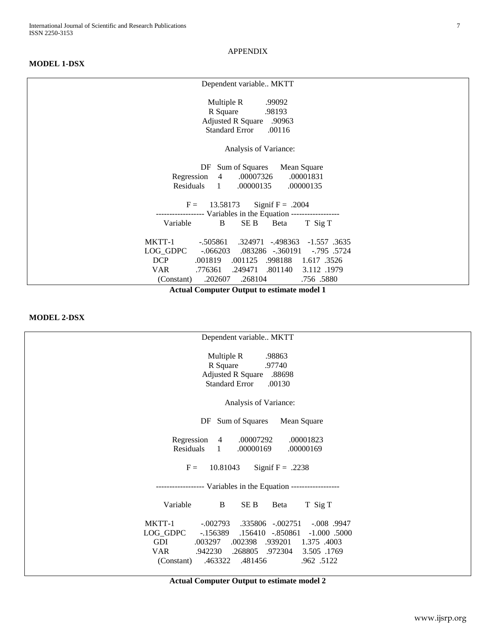APPENDIX

# **MODEL 1-DSX**

| Dependent variable MKTT                                                                                                                                                                                                                                    |
|------------------------------------------------------------------------------------------------------------------------------------------------------------------------------------------------------------------------------------------------------------|
| Multiple R<br>.99092<br>R Square<br>.98193<br><b>Adjusted R Square</b><br>.90963<br><b>Standard Error</b><br>.00116                                                                                                                                        |
| Analysis of Variance:                                                                                                                                                                                                                                      |
| Sum of Squares<br>Mean Square<br>DF<br>Regression<br>.00007326<br>.00001831<br>$\overline{4}$<br>.00000135<br>Residuals<br>.00000135<br>-1                                                                                                                 |
| 13.58173<br>Signif $F = .2004$<br>$F =$<br>--------------- Variables in the Equation ------------------                                                                                                                                                    |
| B<br>SE B<br>Variable<br>Beta<br>T Sig T                                                                                                                                                                                                                   |
| MKTT-1<br>$-.505861$<br>.324971<br>-.498363<br>$-1.557$ .3635<br>LOG_GDPC<br>.083286 -.360191<br>$-0.795$ .5724<br>$-0.066203$<br><b>DCP</b><br>.001125<br>.001819<br>.998188<br>1.617 .3526<br><b>VAR</b><br>.776361<br>.249471<br>.801140<br>3.112 .1979 |
| .268104<br>.202607<br>.756.5880<br>(Constant)                                                                                                                                                                                                              |

**Actual Computer Output to estimate model 1** 

# **MODEL 2-DSX**

| Dependent variable MKTT                                                                                                                                                                                                                                                                  |
|------------------------------------------------------------------------------------------------------------------------------------------------------------------------------------------------------------------------------------------------------------------------------------------|
| Multiple R<br>.98863<br>R Square<br>.97740<br><b>Adjusted R Square</b><br>.88698<br><b>Standard Error</b><br>.00130                                                                                                                                                                      |
| Analysis of Variance:                                                                                                                                                                                                                                                                    |
| Sum of Squares<br>Mean Square<br>DF                                                                                                                                                                                                                                                      |
| Regression<br>.00007292<br>.00001823<br>4<br>.00000169<br>Residuals<br>$\mathbf{1}$<br>.00000169                                                                                                                                                                                         |
| $F =$<br>10.81043<br>Signif $F = .2238$                                                                                                                                                                                                                                                  |
| ------------------ Variables in the Equation ------------------                                                                                                                                                                                                                          |
| Variable<br>B<br>SE B<br>T Sig T<br>Beta                                                                                                                                                                                                                                                 |
| MKTT-1<br>$-.002793$<br>.335806 -.002751<br>$-.008$ .9947<br>LOG_GDPC<br>$-156389$<br>.156410 -.850861<br>$-1.000$ .5000<br>GDI<br>.003297<br>.002398<br>.939201<br>1.375 .4003<br>VAR<br>.942230<br>.268805<br>.972304<br>3.505 .1769<br>.481456<br>.463322<br>.962 .5122<br>(Constant) |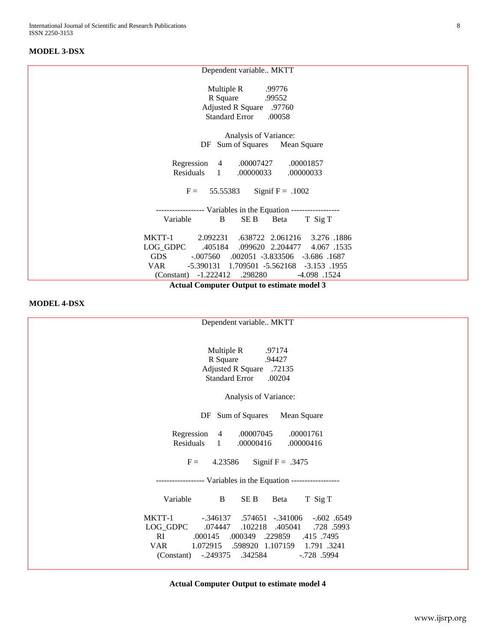# **MODEL 3-DSX**

| Dependent variable MKTT                                                                                                                                                                                                                                                                    |  |  |  |  |  |
|--------------------------------------------------------------------------------------------------------------------------------------------------------------------------------------------------------------------------------------------------------------------------------------------|--|--|--|--|--|
| Multiple R<br>.99776<br>R Square<br>.99552<br><b>Adjusted R Square</b><br>.97760<br><b>Standard Error</b><br>.00058                                                                                                                                                                        |  |  |  |  |  |
| Analysis of Variance:                                                                                                                                                                                                                                                                      |  |  |  |  |  |
| Sum of Squares Mean Square<br>DF                                                                                                                                                                                                                                                           |  |  |  |  |  |
| Regression 4<br>.00007427<br>.00001857<br>Residuals<br>.00000033<br>$\mathbf{1}$<br>.00000033<br>$F =$<br>55.55383<br>Signif $F = .1002$                                                                                                                                                   |  |  |  |  |  |
|                                                                                                                                                                                                                                                                                            |  |  |  |  |  |
| ------------------ Variables in the Equation ------------------<br>B<br>SE B<br>Variable<br>Beta<br>T Sig T                                                                                                                                                                                |  |  |  |  |  |
| MKTT-1<br>2.092231<br>.638722 2.061216<br>3.276 .1886<br>LOG_GDPC<br>.405184<br>.099620 2.204477<br>4.067.1535<br><b>GDS</b><br>$-.007560$ $.002051$ $-.3.833506$ $-.3.686$ $.1687$<br>VAR<br>-5.390131 1.709501 -5.562168 -3.153 .1955<br>(Constant) -1.222412<br>.298280<br>-4.098 .1524 |  |  |  |  |  |
| <b>Actual Computer Output to estimate model 3</b>                                                                                                                                                                                                                                          |  |  |  |  |  |

# **MODEL 4-DSX**

| Dependent variable MKTT                                        |
|----------------------------------------------------------------|
|                                                                |
| Multiple R<br>.97174                                           |
| R Square<br>.94427                                             |
| <b>Adjusted R Square</b><br>.72135                             |
| <b>Standard Error</b><br>.00204                                |
|                                                                |
| Analysis of Variance:                                          |
| Sum of Squares<br>Mean Square<br>DF                            |
| Regression<br>.00007045<br>.00001761<br>$\overline{4}$         |
| Residuals<br>$\mathbf{1}$<br>.00000416<br>.00000416            |
|                                                                |
| 4.23586<br>Signif $F = .3475$<br>$F =$                         |
| ----------------- Variables in the Equation ------------------ |
| Variable<br>B<br>SE <sub>B</sub><br>Beta<br>T Sig T            |
| MKTT-1<br>$-.346137$<br>.574651 -.341006<br>$-.602$ $.6549$    |
| LOG_GDPC<br>.074447<br>.102218<br>.405041<br>.728 .5993        |
| RI<br>.000145 .000349 .229859<br>.415 .7495                    |
| <b>VAR</b><br>1.072915<br>.598920 1.107159<br>1.791 .3241      |
| .342584<br>(Constant)<br>$-.249375$<br>$-.728$ .5994           |
|                                                                |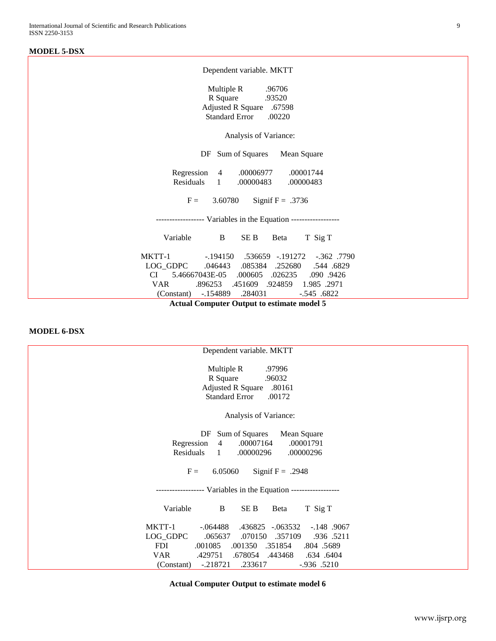# **MODEL 5-DSX**

**Actual Computer Output to estimate model 5**

## **MODEL 6-DSX**

| Dependent variable. MKTT                                                                                                                                                                                                                     |
|----------------------------------------------------------------------------------------------------------------------------------------------------------------------------------------------------------------------------------------------|
| Multiple R<br>.97996<br>R Square<br>.96032<br><b>Adjusted R Square</b><br>.80161<br><b>Standard Error</b><br>.00172                                                                                                                          |
| Analysis of Variance:                                                                                                                                                                                                                        |
| Sum of Squares<br>Mean Square<br>DF<br>Regression<br>.00007164<br>.00001791<br>4<br>.00000296<br>Residuals<br>$\mathbf{1}$<br>.00000296                                                                                                      |
| $F =$<br>6.05060<br>Signif $F = .2948$                                                                                                                                                                                                       |
| ------------------ Variables in the Equation ------------------                                                                                                                                                                              |
| Variable<br>B<br>SE B<br>Beta<br>T Sig T                                                                                                                                                                                                     |
| MKTT-1<br>.436825<br>$-.063532$<br>$-.064488$<br>$-.148$ .9067<br>LOG_GDPC<br>.065637<br>.070150<br>.357109<br>.936 .5211<br><b>FDI</b><br>.001085<br>.001350<br>.351854<br>.804 .5689<br>VAR<br>.429751<br>.678054<br>.443468<br>.634 .6404 |
| .233617<br>$-.936$ .5210<br>$-.218721$<br>(Constant)                                                                                                                                                                                         |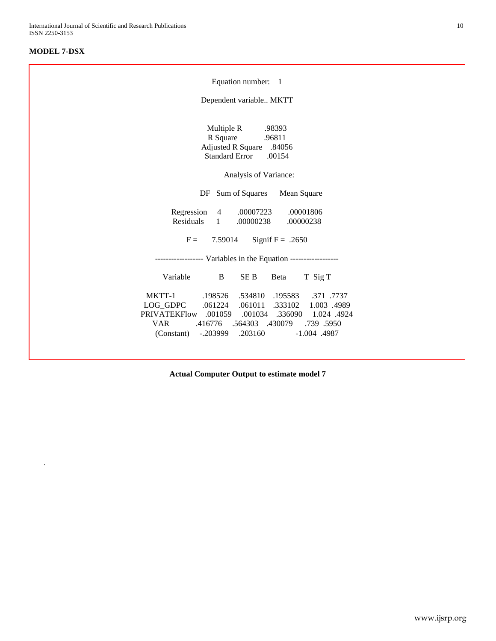# **MODEL 7-DSX**

.

| Equation number: 1                                                                                                                                                                                                                                                                   |  |
|--------------------------------------------------------------------------------------------------------------------------------------------------------------------------------------------------------------------------------------------------------------------------------------|--|
| Dependent variable MKTT                                                                                                                                                                                                                                                              |  |
| Multiple R<br>.98393<br>R Square<br>.96811<br><b>Adjusted R Square</b><br>.84056<br><b>Standard Error</b><br>.00154<br>Analysis of Variance:                                                                                                                                         |  |
| DF Sum of Squares<br>Mean Square                                                                                                                                                                                                                                                     |  |
| Regression<br>$4 \quad$<br>.00007223<br>.00001806<br>Residuals 1<br>.00000238<br>.00000238                                                                                                                                                                                           |  |
| Signif $F = .2650$<br>$F =$<br>7.59014                                                                                                                                                                                                                                               |  |
| ----------------- Variables in the Equation ------------------                                                                                                                                                                                                                       |  |
| Variable<br>SE B<br>T Sig T<br>B<br>Beta                                                                                                                                                                                                                                             |  |
| MKTT-1<br>.198526<br>.534810<br>.195583<br>.371 .7737<br>LOG GDPC .061224<br>.061011<br>.333102<br>1.003.4989<br>PRIVATEKFlow .001059<br>.001034 .336090<br>1.024 .4924<br><b>VAR</b><br>.416776 .564303 .430079<br>.739.5950<br>(Constant)<br>-.203999<br>.203160<br>$-1.004$ .4987 |  |